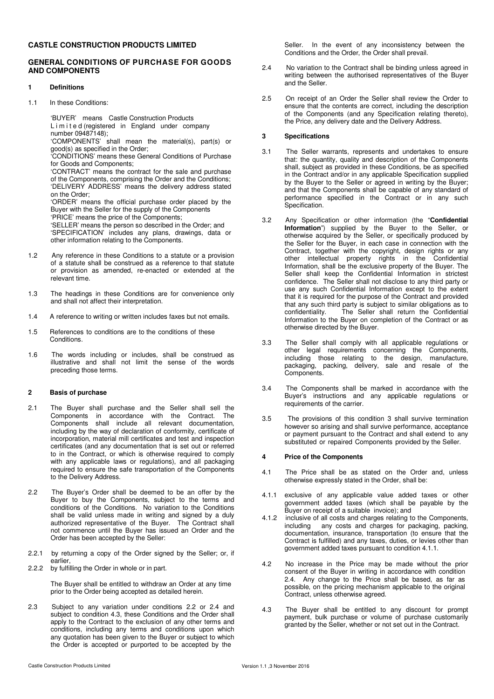# **CASTLE CONSTRUCTION PRODUCTS LIMITED**

# **GENERAL CONDITIONS OF PURCHASE FOR GOODS AND COMPONENTS**

# **1 Definitions**

1.1 In these Conditions:

'BUYER' means Castle Construction Products Limited (registered in England under company number 09487148);

'COMPONENTS' shall mean the material(s), part(s) or good(s) as specified in the Order;

'CONDITIONS' means these General Conditions of Purchase for Goods and Components;

'CONTRACT' means the contract for the sale and purchase of the Components, comprising the Order and the Conditions; 'DELIVERY ADDRESS' means the delivery address stated on the Order;

'ORDER' means the official purchase order placed by the Buyer with the Seller for the supply of the Components 'PRICE' means the price of the Components;

'SELLER' means the person so described in the Order; and 'SPECIFICATION' includes any plans, drawings, data or other information relating to the Components.

- 1.2 Any reference in these Conditions to a statute or a provision of a statute shall be construed as a reference to that statute or provision as amended, re-enacted or extended at the relevant time.
- 1.3 The headings in these Conditions are for convenience only and shall not affect their interpretation.
- 1.4 A reference to writing or written includes faxes but not emails.
- 1.5 References to conditions are to the conditions of these Conditions.
- 1.6 The words including or includes, shall be construed as illustrative and shall not limit the sense of the words preceding those terms.

### **2 Basis of purchase**

- 2.1 The Buyer shall purchase and the Seller shall sell the Components in accordance with the Contract. The Components shall include all relevant documentation, including by the way of declaration of conformity, certificate of incorporation, material mill certificates and test and inspection certificates (and any documentation that is set out or referred to in the Contract, or which is otherwise required to comply with any applicable laws or regulations), and all packaging required to ensure the safe transportation of the Components to the Delivery Address.
- 2.2 The Buyer's Order shall be deemed to be an offer by the Buyer to buy the Components, subject to the terms and conditions of the Conditions. No variation to the Conditions shall be valid unless made in writing and signed by a duly authorized representative of the Buyer. The Contract shall not commence until the Buyer has issued an Order and the Order has been accepted by the Seller:
- 2.2.1 by returning a copy of the Order signed by the Seller; or, if earlier,
- 2.2.2 by fulfilling the Order in whole or in part.

The Buyer shall be entitled to withdraw an Order at any time prior to the Order being accepted as detailed herein.

2.3 Subject to any variation under conditions 2.2 or 2.4 and subject to condition 4.3, these Conditions and the Order shall apply to the Contract to the exclusion of any other terms and conditions, including any terms and conditions upon which any quotation has been given to the Buyer or subject to which the Order is accepted or purported to be accepted by the

Seller. In the event of any inconsistency between the Conditions and the Order, the Order shall prevail.

- 2.4 No variation to the Contract shall be binding unless agreed in writing between the authorised representatives of the Buyer and the Seller.
- 2.5 On receipt of an Order the Seller shall review the Order to ensure that the contents are correct, including the description of the Components (and any Specification relating thereto), the Price, any delivery date and the Delivery Address.

# **3 Specifications**

- 3.1 The Seller warrants, represents and undertakes to ensure that: the quantity, quality and description of the Components shall, subject as provided in these Conditions, be as specified in the Contract and/or in any applicable Specification supplied by the Buyer to the Seller or agreed in writing by the Buyer; and that the Components shall be capable of any standard of performance specified in the Contract or in any such Specification.
- 3.2 Any Specification or other information (the "**Confidential Information**") supplied by the Buyer to the Seller, or otherwise acquired by the Seller, or specifically produced by the Seller for the Buyer, in each case in connection with the Contract, together with the copyright, design rights or any other intellectual property rights in the Confidential Information, shall be the exclusive property of the Buyer. The Seller shall keep the Confidential Information in strictest confidence. The Seller shall not disclose to any third party or use any such Confidential Information except to the extent that it is required for the purpose of the Contract and provided that any such third party is subject to similar obligations as to confidentiality. The Seller shall return the Confidential Information to the Buyer on completion of the Contract or as otherwise directed by the Buyer.
- 3.3 The Seller shall comply with all applicable regulations or other legal requirements concerning the Components, including those relating to the design, manufacture, packaging, packing, delivery, sale and resale of the Components.
- 3.4 The Components shall be marked in accordance with the Buyer's instructions and any applicable regulations or requirements of the carrier.
- 3.5 The provisions of this condition 3 shall survive termination however so arising and shall survive performance, acceptance or payment pursuant to the Contract and shall extend to any substituted or repaired Components provided by the Seller.

### **4 Price of the Components**

- 4.1 The Price shall be as stated on the Order and, unless otherwise expressly stated in the Order, shall be:
- 4.1.1 exclusive of any applicable value added taxes or other government added taxes (which shall be payable by the Buyer on receipt of a suitable invoice); and
- 4.1.2 inclusive of all costs and charges relating to the Components,<br>including any costs and charges for packaging packing any costs and charges for packaging, packing, documentation, insurance, transportation (to ensure that the Contract is fulfilled) and any taxes, duties, or levies other than government added taxes pursuant to condition 4.1.1.
- 4.2 No increase in the Price may be made without the prior consent of the Buyer in writing in accordance with condition 2.4. Any change to the Price shall be based, as far as possible, on the pricing mechanism applicable to the original Contract, unless otherwise agreed.
- 4.3 The Buyer shall be entitled to any discount for prompt payment, bulk purchase or volume of purchase customarily granted by the Seller, whether or not set out in the Contract.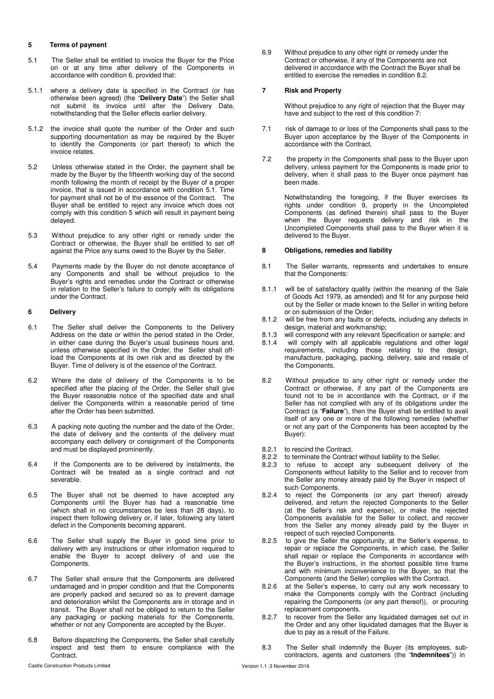### **5 Terms of payment**

- 5.1 The Seller shall be entitled to invoice the Buyer for the Price on or at any time after delivery of the Components in accordance with condition 6, provided that:
- 5.1.1 where a delivery date is specified in the Contract (or has otherwise been agreed) (the "**Delivery Date**") the Seller shall not submit its invoice until after the Delivery Date, notwithstanding that the Seller effects earlier delivery.
- 5.1.2 the invoice shall quote the number of the Order and such supporting documentation as may be required by the Buyer to identify the Components (or part thereof) to which the invoice relates.
- 5.2 Unless otherwise stated in the Order, the payment shall be made by the Buyer by the fifteenth working day of the second month following the month of receipt by the Buyer of a proper invoice, that is issued in accordance with condition 5.1. Time for payment shall not be of the essence of the Contract. The Buyer shall be entitled to reject any invoice which does not comply with this condition 5 which will result in payment being delayed.
- 5.3 Without prejudice to any other right or remedy under the Contract or otherwise, the Buyer shall be entitled to set off against the Price any sums owed to the Buyer by the Seller.
- 5.4 Payments made by the Buyer do not denote acceptance of any Components and shall be without prejudice to the Buyer's rights and remedies under the Contract or otherwise in relation to the Seller's failure to comply with its obligations under the Contract.

### **6 Delivery**

- 6.1 The Seller shall deliver the Components to the Delivery Address on the date or within the period stated in the Order, in either case during the Buyer's usual business hours and, unless otherwise specified in the Order, the Seller shall offload the Components at its own risk and as directed by the Buyer. Time of delivery is of the essence of the Contract.
- 6.2 Where the date of delivery of the Components is to be specified after the placing of the Order, the Seller shall give the Buyer reasonable notice of the specified date and shall deliver the Components within a reasonable period of time after the Order has been submitted.
- 6.3 A packing note quoting the number and the date of the Order, the date of delivery and the contents of the delivery must accompany each delivery or consignment of the Components and must be displayed prominently.
- 6.4 If the Components are to be delivered by instalments, the Contract will be treated as a single contract and not severable.
- 6.5 The Buyer shall not be deemed to have accepted any Components until the Buyer has had a reasonable time (which shall in no circumstances be less than 28 days), to inspect them following delivery or, if later, following any latent defect in the Components becoming apparent.
- 6.6 The Seller shall supply the Buyer in good time prior to delivery with any instructions or other information required to enable the Buyer to accept delivery of and use the Components.
- 6.7 The Seller shall ensure that the Components are delivered undamaged and in proper condition and that the Components are properly packed and secured so as to prevent damage and deterioration whilst the Components are in storage and in transit. The Buyer shall not be obliged to return to the Seller any packaging or packing materials for the Components, whether or not any Components are accepted by the Buyer.
- 6.8 Before dispatching the Components, the Seller shall carefully inspect and test them to ensure compliance with the Contract.

6.9 Without prejudice to any other right or remedy under the Contract or otherwise, if any of the Components are not delivered in accordance with the Contract the Buyer shall be entitled to exercise the remedies in condition 8.2.

#### **7 Risk and Property**

Without prejudice to any right of rejection that the Buyer may have and subject to the rest of this condition 7:

- 7.1 risk of damage to or loss of the Components shall pass to the Buyer upon acceptance by the Buyer of the Components in accordance with the Contract.
- 7.2 the property in the Components shall pass to the Buyer upon delivery, unless payment for the Components is made prior to delivery, when it shall pass to the Buyer once payment has been made.

Notwithstanding the foregoing, if the Buyer exercises its rights under condition 9, property in the Uncompleted Components (as defined therein) shall pass to the Buyer when the Buyer requests delivery and risk in the Uncompleted Components shall pass to the Buyer when it is delivered to the Buyer.

### **8 Obligations, remedies and liability**

- 8.1 The Seller warrants, represents and undertakes to ensure that the Components:
- 8.1.1 will be of satisfactory quality (within the meaning of the Sale of Goods Act 1979, as amended) and fit for any purpose held out by the Seller or made known to the Seller in writing before or on submission of the Order;
- 8.1.2 will be free from any faults or defects, including any defects in design, material and workmanship;
- 8.1.3 will correspond with any relevant Specification or sample; and 8.1.4 will comply with all applicable requisitions and other legal
- will comply with all applicable regulations and other legal requirements, including those relating to the design, manufacture, packaging, packing, delivery, sale and resale of the Components.
- 8.2 Without prejudice to any other right or remedy under the Contract or otherwise, if any part of the Components are found not to be in accordance with the Contract, or if the Seller has not complied with any of its obligations under the Contract (a "**Failure**"), then the Buyer shall be entitled to avail itself of any one or more of the following remedies (whether or not any part of the Components has been accepted by the Buyer):
- 8.2.1 to rescind the Contract.
- 8.2.2 to terminate the Contract without liability to the Seller.<br>8.2.3 to refuse to accept any subsequent delivery
- to refuse to accept any subsequent delivery of the Components without liability to the Seller and to recover from the Seller any money already paid by the Buyer in respect of such Components.
- 8.2.4 to reject the Components (or any part thereof) already delivered, and return the rejected Components to the Seller (at the Seller's risk and expense), or make the rejected Components available for the Seller to collect, and recover from the Seller any money already paid by the Buyer in respect of such rejected Components.
- 8.2.5 to give the Seller the opportunity, at the Seller's expense, to repair or replace the Components, in which case, the Seller shall repair or replace the Components in accordance with the Buyer's instructions, in the shortest possible time frame and with minimum inconvenience to the Buyer, so that the Components (and the Seller) complies with the Contract.
- 8.2.6 at the Seller's expense, to carry out any work necessary to make the Components comply with the Contract (including repairing the Components (or any part thereof)), or procuring replacement components.
- 8.2.7 to recover from the Seller any liquidated damages set out in the Order and any other liquidated damages that the Buyer is due to pay as a result of the Failure.
- 8.3 The Seller shall indemnify the Buyer (its employees, subcontractors, agents and customers (the "**Indemnitees**")) in